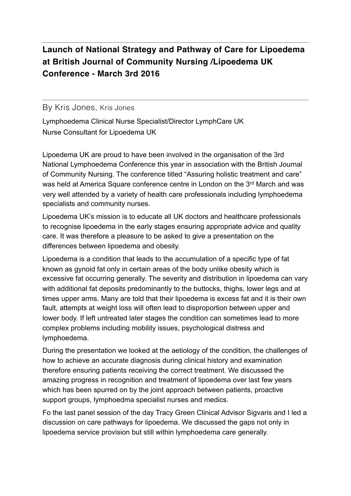## **Launch of National Strategy and Pathway of Care for Lipoedema at British Journal of Community Nursing /Lipoedema UK Conference - March 3rd 2016**

## By Kris Jones, Kris Jones

Lymphoedema Clinical Nurse Specialist/Director LymphCare UK Nurse Consultant for Lipoedema UK

Lipoedema UK are proud to have been involved in the organisation of the 3rd National Lymphoedema Conference this year in association with the British Journal of Community Nursing. The conference titled "Assuring holistic treatment and care" was held at America Square conference centre in London on the 3<sup>rd</sup> March and was very well attended by a variety of health care professionals including lymphoedema specialists and community nurses.

Lipoedema UK's mission is to educate all UK doctors and healthcare professionals to recognise lipoedema in the early stages ensuring appropriate advice and quality care. It was therefore a pleasure to be asked to give a presentation on the differences between lipoedema and obesity.

Lipoedema is a condition that leads to the accumulation of a specific type of fat known as gynoid fat only in certain areas of the body unlike obesity which is excessive fat occurring generally. The severity and distribution in lipoedema can vary with additional fat deposits predominantly to the buttocks, thighs, lower legs and at times upper arms. Many are told that their lipoedema is excess fat and it is their own fault, attempts at weight loss will often lead to disproportion between upper and lower body. If left untreated later stages the condition can sometimes lead to more complex problems including mobility issues, psychological distress and lymphoedema.

During the presentation we looked at the aetiology of the condition, the challenges of how to achieve an accurate diagnosis during clinical history and examination therefore ensuring patients receiving the correct treatment. We discussed the amazing progress in recognition and treatment of lipoedema over last few years which has been spurred on by the joint approach between patients, proactive support groups, lymphoedma specialist nurses and medics.

Fo the last panel session of the day Tracy Green Clinical Advisor Sigvaris and I led a discussion on care pathways for lipoedema. We discussed the gaps not only in lipoedema service provision but still within lymphoedema care generally.